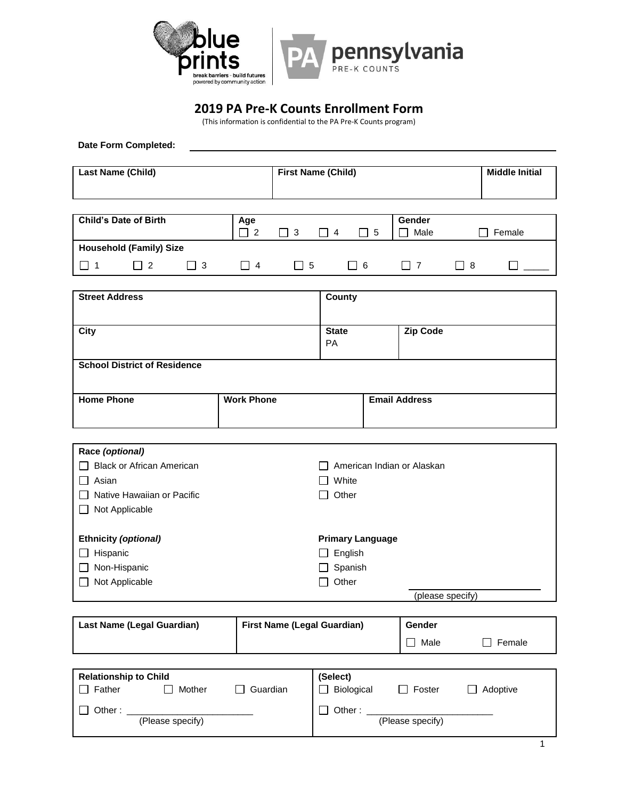

## **2019 PA Pre-K Counts Enrollment Form**

(This information is confidential to the PA Pre-K Counts program)

**Date Form Completed:**

| Last Name (Child) | <b>First Name (Child)</b> | <b>Middle Initial</b> |
|-------------------|---------------------------|-----------------------|
|                   |                           |                       |
|                   |                           |                       |
|                   |                           |                       |

| <b>Child's Date of Birth</b>   | Age |     | -4 | l 5 | Gender<br>Male | Female |
|--------------------------------|-----|-----|----|-----|----------------|--------|
| <b>Household (Family) Size</b> |     |     |    |     |                |        |
|                                | 4   | - 5 |    | -6  |                |        |

| <b>Street Address</b>               |                   | County                    |                      |  |
|-------------------------------------|-------------------|---------------------------|----------------------|--|
| <b>City</b>                         |                   | <b>State</b><br><b>PA</b> | <b>Zip Code</b>      |  |
| <b>School District of Residence</b> |                   |                           |                      |  |
| <b>Home Phone</b>                   | <b>Work Phone</b> |                           | <b>Email Address</b> |  |

| Race (optional)                  |                            |
|----------------------------------|----------------------------|
| <b>Black or African American</b> | American Indian or Alaskan |
| Asian                            | White                      |
| Native Hawaiian or Pacific       | Other                      |
| Not Applicable<br>$\mathbf{1}$   |                            |
|                                  |                            |
| <b>Ethnicity (optional)</b>      | <b>Primary Language</b>    |
| Hispanic                         | English                    |
| Non-Hispanic<br>$\perp$          | Spanish                    |
| Not Applicable                   | Other                      |
|                                  | (please specify)           |

| Last Name (Legal Guardian) | <b>First Name (Legal Guardian)</b> | Gender |        |
|----------------------------|------------------------------------|--------|--------|
|                            |                                    | Male   | Female |

| <b>Relationship to Child</b> |                  |          | (Select)   |                  |          |
|------------------------------|------------------|----------|------------|------------------|----------|
| Father                       | Mother           | Guardian | Biological | Foster           | Adoptive |
| Other:                       | (Please specify) |          | Other:     | (Please specify) |          |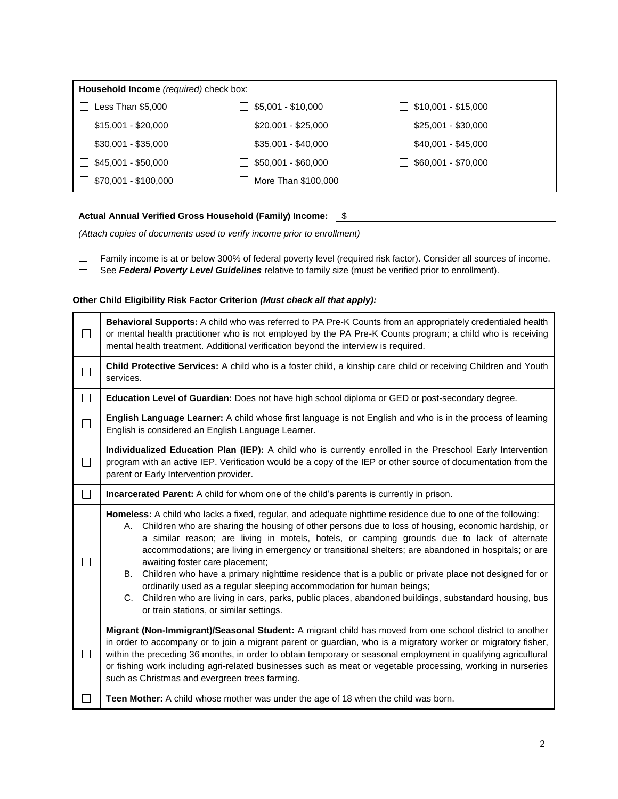| Household Income (required) check box: |                            |                            |  |  |  |
|----------------------------------------|----------------------------|----------------------------|--|--|--|
| Less Than \$5,000                      | $\Box$ \$5,001 - \$10,000  | $\Box$ \$10,001 - \$15,000 |  |  |  |
| $\Box$ \$15,001 - \$20,000             | $\Box$ \$20,001 - \$25,000 | $\Box$ \$25,001 - \$30,000 |  |  |  |
| $\Box$ \$30,001 - \$35,000             | $\Box$ \$35,001 - \$40,000 | $\Box$ \$40,001 - \$45,000 |  |  |  |
| $\Box$ \$45,001 - \$50,000             | $\Box$ \$50,001 - \$60,000 | $\Box$ \$60,001 - \$70,000 |  |  |  |
| $\Box$ \$70,001 - \$100,000            | <b>More Than \$100,000</b> |                            |  |  |  |

## Actual Annual Verified Gross Household (Family) Income: 5

*(Attach copies of documents used to verify income prior to enrollment)*

Family income is at or below 300% of federal poverty level (required risk factor). Consider all sources of income.  $\Box$ See *Federal Poverty Level Guidelines* relative to family size (must be verified prior to enrollment).

## **Other Child Eligibility Risk Factor Criterion** *(Must check all that apply):*

| П      | Behavioral Supports: A child who was referred to PA Pre-K Counts from an appropriately credentialed health<br>or mental health practitioner who is not employed by the PA Pre-K Counts program; a child who is receiving<br>mental health treatment. Additional verification beyond the interview is required.                                                                                                                                                                                                                                                                                                                                                                                                                                                                                                |  |  |  |  |
|--------|---------------------------------------------------------------------------------------------------------------------------------------------------------------------------------------------------------------------------------------------------------------------------------------------------------------------------------------------------------------------------------------------------------------------------------------------------------------------------------------------------------------------------------------------------------------------------------------------------------------------------------------------------------------------------------------------------------------------------------------------------------------------------------------------------------------|--|--|--|--|
| $\Box$ | Child Protective Services: A child who is a foster child, a kinship care child or receiving Children and Youth<br>services.                                                                                                                                                                                                                                                                                                                                                                                                                                                                                                                                                                                                                                                                                   |  |  |  |  |
| $\Box$ | Education Level of Guardian: Does not have high school diploma or GED or post-secondary degree.                                                                                                                                                                                                                                                                                                                                                                                                                                                                                                                                                                                                                                                                                                               |  |  |  |  |
| $\Box$ | English Language Learner: A child whose first language is not English and who is in the process of learning<br>English is considered an English Language Learner.                                                                                                                                                                                                                                                                                                                                                                                                                                                                                                                                                                                                                                             |  |  |  |  |
| $\Box$ | Individualized Education Plan (IEP): A child who is currently enrolled in the Preschool Early Intervention<br>program with an active IEP. Verification would be a copy of the IEP or other source of documentation from the<br>parent or Early Intervention provider.                                                                                                                                                                                                                                                                                                                                                                                                                                                                                                                                         |  |  |  |  |
| □      | Incarcerated Parent: A child for whom one of the child's parents is currently in prison.                                                                                                                                                                                                                                                                                                                                                                                                                                                                                                                                                                                                                                                                                                                      |  |  |  |  |
|        | Homeless: A child who lacks a fixed, regular, and adequate nighttime residence due to one of the following:<br>A. Children who are sharing the housing of other persons due to loss of housing, economic hardship, or<br>a similar reason; are living in motels, hotels, or camping grounds due to lack of alternate<br>accommodations; are living in emergency or transitional shelters; are abandoned in hospitals; or are<br>awaiting foster care placement;<br>Children who have a primary nighttime residence that is a public or private place not designed for or<br>В.<br>ordinarily used as a regular sleeping accommodation for human beings;<br>C. Children who are living in cars, parks, public places, abandoned buildings, substandard housing, bus<br>or train stations, or similar settings. |  |  |  |  |
| $\Box$ | Migrant (Non-Immigrant)/Seasonal Student: A migrant child has moved from one school district to another<br>in order to accompany or to join a migrant parent or guardian, who is a migratory worker or migratory fisher,<br>within the preceding 36 months, in order to obtain temporary or seasonal employment in qualifying agricultural<br>or fishing work including agri-related businesses such as meat or vegetable processing, working in nurseries<br>such as Christmas and evergreen trees farming.                                                                                                                                                                                                                                                                                                  |  |  |  |  |
|        | Teen Mother: A child whose mother was under the age of 18 when the child was born.                                                                                                                                                                                                                                                                                                                                                                                                                                                                                                                                                                                                                                                                                                                            |  |  |  |  |